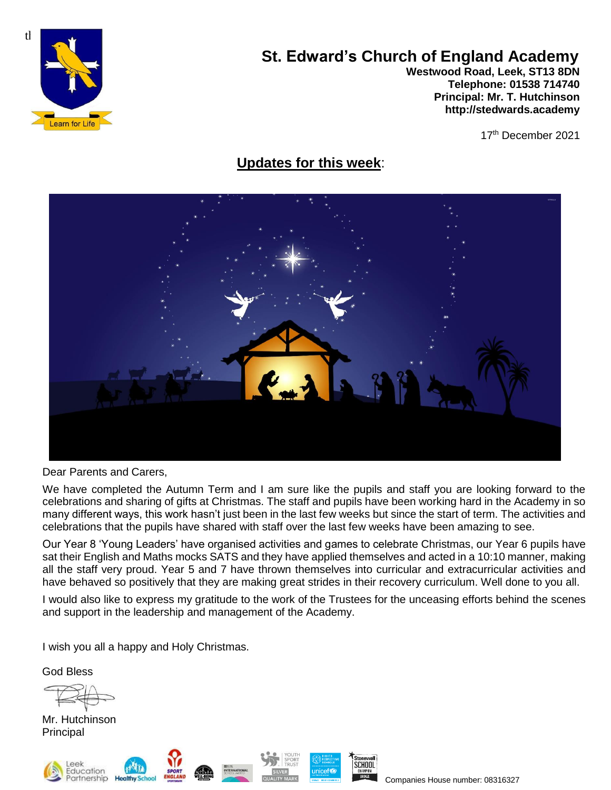

# **St. Edward's Church of England Academy**

**Westwood Road, Leek, ST13 8DN Telephone: 01538 714740 Principal: Mr. T. Hutchinson [http://stedwards.academy](http://stedwards.academy/)**

17th December 2021

## **Updates for this week**:



Dear Parents and Carers,

We have completed the Autumn Term and I am sure like the pupils and staff you are looking forward to the celebrations and sharing of gifts at Christmas. The staff and pupils have been working hard in the Academy in so many different ways, this work hasn't just been in the last few weeks but since the start of term. The activities and celebrations that the pupils have shared with staff over the last few weeks have been amazing to see.

Our Year 8 'Young Leaders' have organised activities and games to celebrate Christmas, our Year 6 pupils have sat their English and Maths mocks SATS and they have applied themselves and acted in a 10:10 manner, making all the staff very proud. Year 5 and 7 have thrown themselves into curricular and extracurricular activities and have behaved so positively that they are making great strides in their recovery curriculum. Well done to you all.

I would also like to express my gratitude to the work of the Trustees for the unceasing efforts behind the scenes and support in the leadership and management of the Academy.

I wish you all a happy and Holy Christmas.

God Bless

Mr. Hutchinson Principal







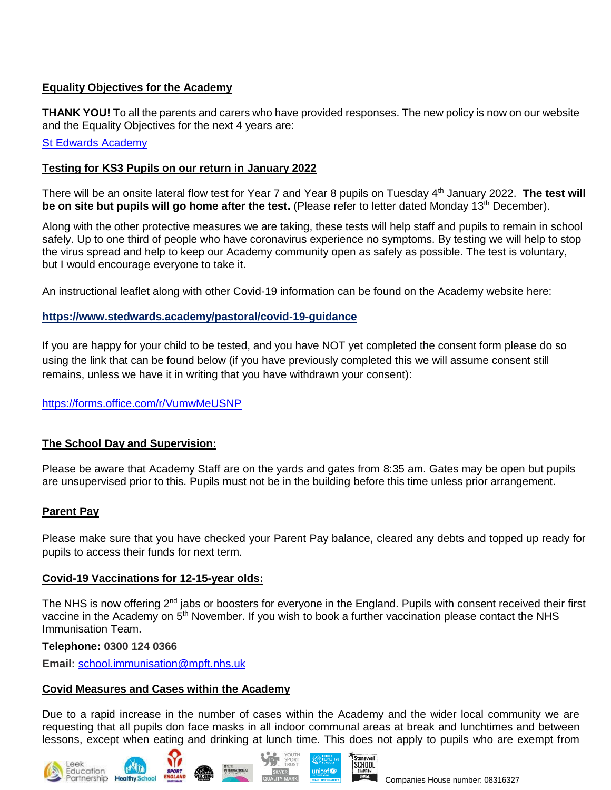## **Equality Objectives for the Academy**

**THANK YOU!** To all the parents and carers who have provided responses. The new policy is now on our website and the Equality Objectives for the next 4 years are:

#### **[St Edwards Academy](https://www.stedwards.academy/)**

#### **Testing for KS3 Pupils on our return in January 2022**

There will be an onsite lateral flow test for Year 7 and Year 8 pupils on Tuesday 4<sup>th</sup> January 2022. **The test will be on site but pupils will go home after the test.** (Please refer to letter dated Monday 13<sup>th</sup> December).

Along with the other protective measures we are taking, these tests will help staff and pupils to remain in school safely. Up to one third of people who have coronavirus experience no symptoms. By testing we will help to stop the virus spread and help to keep our Academy community open as safely as possible. The test is voluntary, but I would encourage everyone to take it.

An instructional leaflet along with other Covid-19 information can be found on the Academy website here:

## **<https://www.stedwards.academy/pastoral/covid-19-guidance>**

If you are happy for your child to be tested, and you have NOT yet completed the consent form please do so using the link that can be found below (if you have previously completed this we will assume consent still remains, unless we have it in writing that you have withdrawn your consent):

<https://forms.office.com/r/VumwMeUSNP>

## **The School Day and Supervision:**

Please be aware that Academy Staff are on the yards and gates from 8:35 am. Gates may be open but pupils are unsupervised prior to this. Pupils must not be in the building before this time unless prior arrangement.

## **Parent Pay**

Please make sure that you have checked your Parent Pay balance, cleared any debts and topped up ready for pupils to access their funds for next term.

## **Covid-19 Vaccinations for 12-15-year olds:**

The NHS is now offering 2<sup>nd</sup> jabs or boosters for everyone in the England. Pupils with consent received their first vaccine in the Academy on 5<sup>th</sup> November. If you wish to book a further vaccination please contact the NHS Immunisation Team.

#### **Telephone: 0300 124 0366**

**Email:** [school.immunisation@mpft.nhs.uk](mailto:school.immunisation@mpft.nhs.uk)

#### **Covid Measures and Cases within the Academy**

Due to a rapid increase in the number of cases within the Academy and the wider local community we are requesting that all pupils don face masks in all indoor communal areas at break and lunchtimes and between lessons, except when eating and drinking at lunch time. This does not apply to pupils who are exempt from









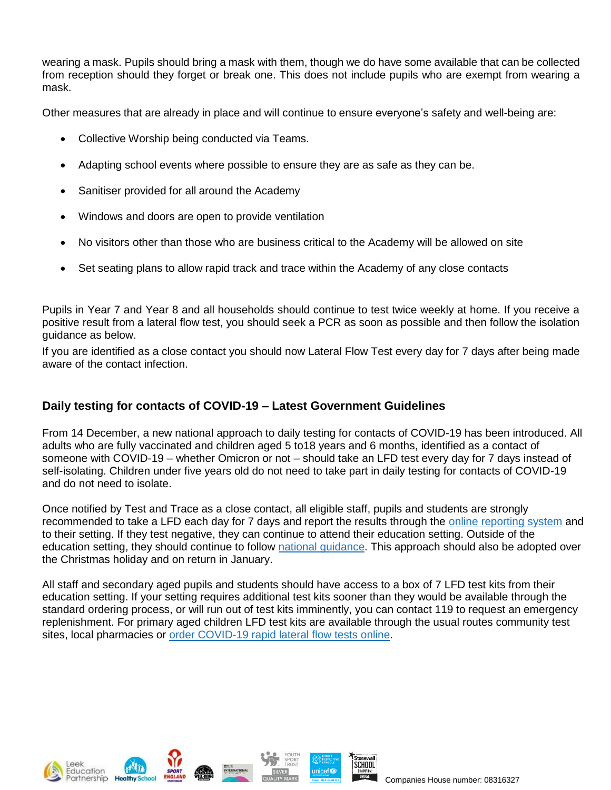wearing a mask. Pupils should bring a mask with them, though we do have some available that can be collected from reception should they forget or break one. This does not include pupils who are exempt from wearing a mask.

Other measures that are already in place and will continue to ensure everyone's safety and well-being are:

- Collective Worship being conducted via Teams.
- Adapting school events where possible to ensure they are as safe as they can be.
- Sanitiser provided for all around the Academy
- Windows and doors are open to provide ventilation
- No visitors other than those who are business critical to the Academy will be allowed on site
- Set seating plans to allow rapid track and trace within the Academy of any close contacts

Pupils in Year 7 and Year 8 and all households should continue to test twice weekly at home. If you receive a positive result from a lateral flow test, you should seek a PCR as soon as possible and then follow the isolation guidance as below.

If you are identified as a close contact you should now Lateral Flow Test every day for 7 days after being made aware of the contact infection.

## **Daily testing for contacts of COVID-19 – Latest Government Guidelines**

From 14 December, a new national approach to daily testing for contacts of COVID-19 has been introduced. All adults who are fully vaccinated and children aged 5 to18 years and 6 months, identified as a contact of someone with COVID-19 – whether Omicron or not – should take an LFD test every day for 7 days instead of self-isolating. Children under five years old do not need to take part in daily testing for contacts of COVID-19 and do not need to isolate.

Once notified by Test and Trace as a close contact, all eligible staff, pupils and students are strongly recommended to take a LFD each day for 7 days and report the results through the online [reporting](https://www.gov.uk/report-covid19-result) system and to their setting. If they test negative, they can continue to attend their education setting. Outside of the education setting, they should continue to follow national [guidance.](https://www.gov.uk/government/news/daily-rapid-testing-for-covid-19-contacts-launches-this-week) This approach should also be adopted over the Christmas holiday and on return in January.

All staff and secondary aged pupils and students should have access to a box of 7 LFD test kits from their education setting. If your setting requires additional test kits sooner than they would be available through the standard ordering process, or will run out of test kits imminently, you can contact 119 to request an emergency replenishment. For primary aged children LFD test kits are available through the usual routes community test sites, local pharmacies or order [COVID-19](https://www.gov.uk/order-coronavirus-rapid-lateral-flow-tests) rapid lateral flow tests online.